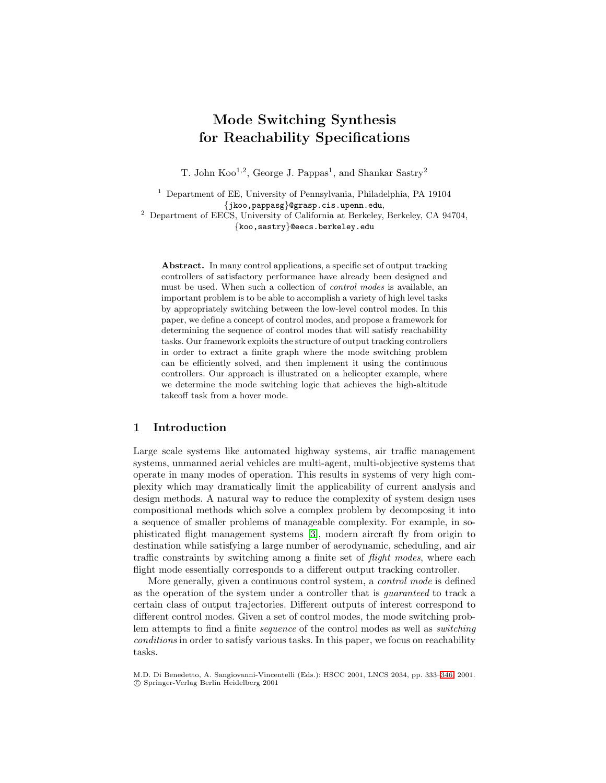# <span id="page-0-0"></span>**Mode Switching Synthesis for Reachability Specifications**

T. John Koo<sup>1,2</sup>, George J. Pappas<sup>1</sup>, and Shankar Sastry<sup>2</sup>

<sup>1</sup> Department of EE, University of Pennsylvania, Philadelphia, PA 19104 {jkoo,pappasg}@grasp.cis.upenn.edu,

<sup>2</sup> Department of EECS, University of California at Berkeley, Berkeley, CA 94704, {koo,sastry}@eecs.berkeley.edu

**Abstract.** In many control applications, a specific set of output tracking controllers of satisfactory performance have already been designed and must be used. When such a collection of control modes is available, an important problem is to be able to accomplish a variety of high level tasks by appropriately switching between the low-level control modes. In this paper, we define a concept of control modes, and propose a framework for determining the sequence of control modes that will satisfy reachability tasks. Our framework exploits the structure of output tracking controllers in order to extract a finite graph where the mode switching problem can be efficiently solved, and then implement it using the continuous controllers. Our approach is illustrated on a helicopter example, where we determine the mode switching logic that achieves the high-altitude takeoff task from a hover mode.

## **1 Introduction**

Large scale systems like automated highway systems, air traffic management systems, unmanned aerial vehicles are multi-agent, multi-objective systems that operate in many modes of operation. This results in systems of very high complexity which may dramatically limit the applicability of current analysis and design methods. A natural way to reduce the complexity of system design uses compositional methods which solve a complex problem by decomposing it into a sequence of smaller problems of manageable complexity. For example, in sophisticated flight management systems [\[3\]](#page-13-0), modern aircraft fly from origin to destination while satisfying a large number of aerodynamic, scheduling, and air traffic constraints by switching among a finite set of flight modes, where each flight mode essentially corresponds to a different output tracking controller.

More generally, given a continuous control system, a *control mode* is defined as the operation of the system under a controller that is guaranteed to track a certain class of output trajectories. Different outputs of interest correspond to different control modes. Given a set of control modes, the mode switching problem attempts to find a finite sequence of the control modes as well as switching conditions in order to satisfy various tasks. In this paper, we focus on reachability tasks.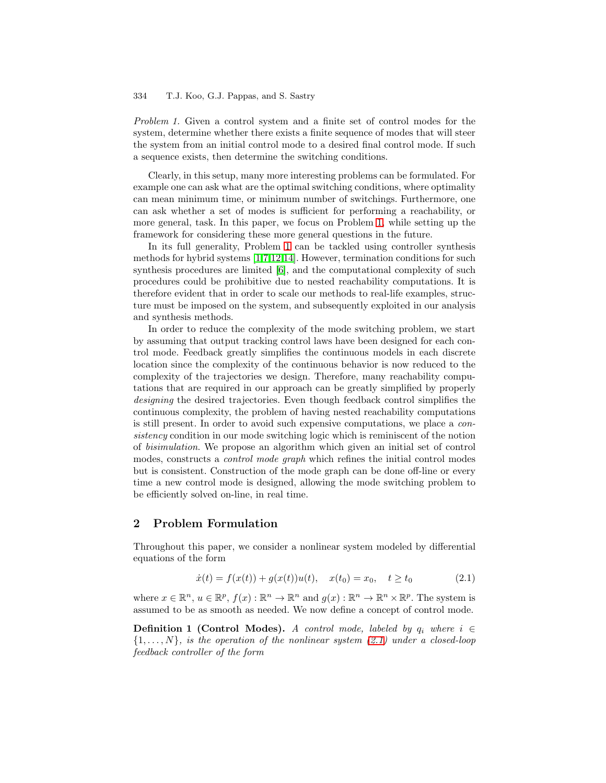<span id="page-1-0"></span>Problem 1. Given a control system and a finite set of control modes for the system, determine whether there exists a finite sequence of modes that will steer the system from an initial control mode to a desired final control mode. If such a sequence exists, then determine the switching conditions.

Clearly, in this setup, many more interesting problems can be formulated. For example one can ask what are the optimal switching conditions, where optimality can mean minimum time, or minimum number of switchings. Furthermore, one can ask whether a set of modes is sufficient for performing a reachability, or more general, task. In this paper, we focus on Problem [1,](#page-0-0) while setting up the framework for considering these more general questions in the future.

In its full generality, Problem [1](#page-0-0) can be tackled using controller synthesis methods for hybrid systems [\[1,7,12,14\]](#page-13-0). However, termination conditions for such synthesis procedures are limited [\[6\]](#page-13-0), and the computational complexity of such procedures could be prohibitive due to nested reachability computations. It is therefore evident that in order to scale our methods to real-life examples, structure must be imposed on the system, and subsequently exploited in our analysis and synthesis methods.

In order to reduce the complexity of the mode switching problem, we start by assuming that output tracking control laws have been designed for each control mode. Feedback greatly simplifies the continuous models in each discrete location since the complexity of the continuous behavior is now reduced to the complexity of the trajectories we design. Therefore, many reachability computations that are required in our approach can be greatly simplified by properly designing the desired trajectories. Even though feedback control simplifies the continuous complexity, the problem of having nested reachability computations is still present. In order to avoid such expensive computations, we place a consistency condition in our mode switching logic which is reminiscent of the notion of bisimulation. We propose an algorithm which given an initial set of control modes, constructs a control mode graph which refines the initial control modes but is consistent. Construction of the mode graph can be done off-line or every time a new control mode is designed, allowing the mode switching problem to be efficiently solved on-line, in real time.

## **2 Problem Formulation**

Throughout this paper, we consider a nonlinear system modeled by differential equations of the form

$$
\dot{x}(t) = f(x(t)) + g(x(t))u(t), \quad x(t_0) = x_0, \quad t \ge t_0
$$
\n(2.1)

where  $x \in \mathbb{R}^n$ ,  $u \in \mathbb{R}^p$ ,  $f(x): \mathbb{R}^n \to \mathbb{R}^n$  and  $g(x): \mathbb{R}^n \to \mathbb{R}^n \times \mathbb{R}^p$ . The system is assumed to be as smooth as needed. We now define a concept of control mode.

**Definition 1 (Control Modes).** A control mode, labeled by  $q_i$  where  $i \in$  $\{1,\ldots,N\}$ , is the operation of the nonlinear system (2.1) under a closed-loop feedback controller of the form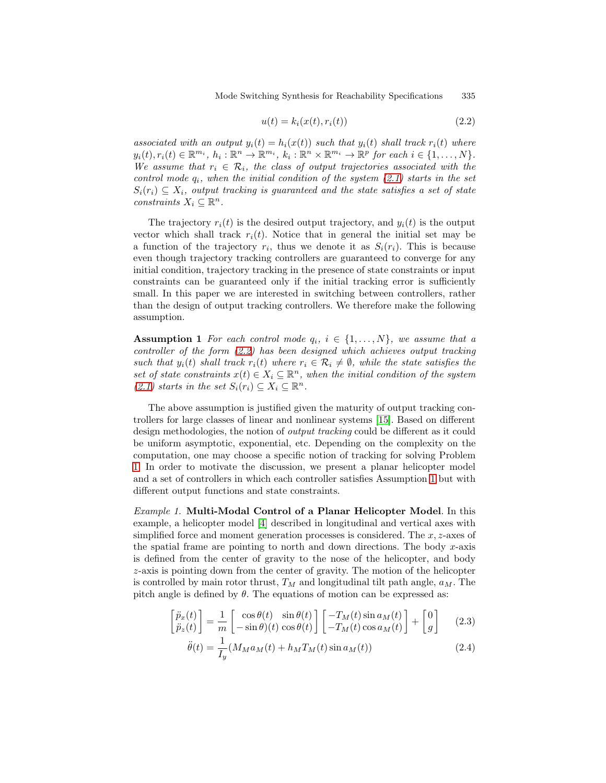$$
u(t) = k_i(x(t), r_i(t))
$$
\n
$$
(2.2)
$$

<span id="page-2-0"></span>associated with an output  $y_i(t) = h_i(x(t))$  such that  $y_i(t)$  shall track  $r_i(t)$  where  $y_i(t), r_i(t) \in \mathbb{R}^{m_i}, h_i : \mathbb{R}^n \to \mathbb{R}^{m_i}, k_i : \mathbb{R}^n \times \mathbb{R}^{m_i} \to \mathbb{R}^p$  for each  $i \in \{1, ..., N\}.$ We assume that  $r_i \in \mathcal{R}_i$ , the class of output trajectories associated with the control mode  $q_i$ , when the initial condition of the system  $(2.1)$  starts in the set  $S_i(r_i) \subseteq X_i$ , output tracking is guaranteed and the state satisfies a set of state constraints  $X_i \subseteq \mathbb{R}^n$ .

The trajectory  $r_i(t)$  is the desired output trajectory, and  $y_i(t)$  is the output vector which shall track  $r_i(t)$ . Notice that in general the initial set may be a function of the trajectory  $r_i$ , thus we denote it as  $S_i(r_i)$ . This is because even though trajectory tracking controllers are guaranteed to converge for any initial condition, trajectory tracking in the presence of state constraints or input constraints can be guaranteed only if the initial tracking error is sufficiently small. In this paper we are interested in switching between controllers, rather than the design of output tracking controllers. We therefore make the following assumption.

**Assumption 1** For each control mode  $q_i$ ,  $i \in \{1, ..., N\}$ , we assume that a controller of the form (2.2) has been designed which achieves output tracking such that  $y_i(t)$  shall track  $r_i(t)$  where  $r_i \in \mathcal{R}_i \neq \emptyset$ , while the state satisfies the set of state constraints  $x(t) \in X_i \subseteq \mathbb{R}^n$ , when the initial condition of the system  $(2.1)$  starts in the set  $S_i(r_i) \subseteq X_i \subseteq \mathbb{R}^n$ .

The above assumption is justified given the maturity of output tracking controllers for large classes of linear and nonlinear systems [\[15\]](#page-13-0). Based on different design methodologies, the notion of output tracking could be different as it could be uniform asymptotic, exponential, etc. Depending on the complexity on the computation, one may choose a specific notion of tracking for solving Problem [1.](#page-0-0) In order to motivate the discussion, we present a planar helicopter model and a set of controllers in which each controller satisfies Assumption 1 but with different output functions and state constraints.

Example 1. **Multi-Modal Control of a Planar Helicopter Model**. In this example, a helicopter model [\[4\]](#page-13-0) described in longitudinal and vertical axes with simplified force and moment generation processes is considered. The  $x, z$ -axes of the spatial frame are pointing to north and down directions. The body  $x$ -axis is defined from the center of gravity to the nose of the helicopter, and body z-axis is pointing down from the center of gravity. The motion of the helicopter is controlled by main rotor thrust,  $T_M$  and longitudinal tilt path angle,  $a_M$ . The pitch angle is defined by  $\theta$ . The equations of motion can be expressed as:

$$
\begin{bmatrix} \ddot{p}_x(t) \\ \ddot{p}_z(t) \end{bmatrix} = \frac{1}{m} \begin{bmatrix} \cos \theta(t) & \sin \theta(t) \\ -\sin \theta(t) & \cos \theta(t) \end{bmatrix} \begin{bmatrix} -T_M(t) \sin a_M(t) \\ -T_M(t) \cos a_M(t) \end{bmatrix} + \begin{bmatrix} 0 \\ g \end{bmatrix}
$$
(2.3)

$$
\ddot{\theta}(t) = \frac{1}{I_y} (M_M a_M(t) + h_M T_M(t) \sin a_M(t))
$$
\n(2.4)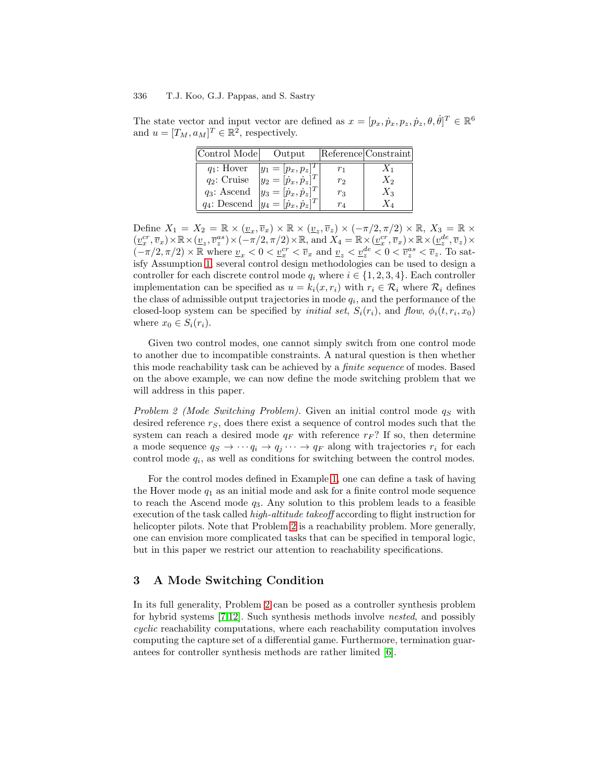<span id="page-3-0"></span>The state vector and input vector are defined as  $x = [p_x, \dot{p}_x, p_z, \dot{p}_z, \theta, \dot{\theta}]^T \in \mathbb{R}^6$ and  $u = [T_M, a_M]^T \in \mathbb{R}^2$ , respectively.

| Control Mode   | Output                                            |         | Reference Constraint |
|----------------|---------------------------------------------------|---------|----------------------|
| $q_1$ : Hover  | $ y_1 = [p_x, p_z]^T $                            | $r_1$   | $X_1$                |
| $q_2$ : Cruise | $ y_2 = [\dot{p}_x, \dot{p}_z]^T $                | $r_{2}$ | $X_2$                |
| $q_3$ : Ascend | $ y_3=[\dot{p}_x,\dot{p}_z]^T$                    | $r_3$   | $X_3$                |
|                | $q_4$ : Descend $ y_4 = [\dot{p}_x, \dot{p}_z]^T$ | $r_{4}$ |                      |

Define  $X_1 = X_2 = \mathbb{R} \times (\underline{v}_x, \overline{v}_x) \times \mathbb{R} \times (\underline{v}_z, \overline{v}_z) \times (-\pi/2, \pi/2) \times \mathbb{R}, X_3 = \mathbb{R} \times$  $(\underline{v}_x^{cr}, \overline{v}_x) \times \mathbb{R} \times (\underline{v}_z, \overline{v}_z^{as}) \times (-\pi/2, \pi/2) \times \mathbb{R} \text{, and } X_4 = \mathbb{R} \times (\underline{v}_x^{cr}, \overline{v}_x) \times \mathbb{R} \times (\underline{v}_z^{de}, \overline{v}_z) \times$  $(-\pi/2, \pi/2) \times \mathbb{R}$  where  $\underline{v}_x < 0 < \underline{v}_x^{cr} < \overline{v}_x$  and  $\underline{v}_z < \underline{v}_z^{de} < 0 < \overline{v}_z^{as} < \overline{v}_z$ . To satisfy Assumption [1,](#page-2-0) several control design methodologies can be used to design a controller for each discrete control mode  $q_i$  where  $i \in \{1, 2, 3, 4\}$ . Each controller implementation can be specified as  $u = k_i(x, r_i)$  with  $r_i \in \mathcal{R}_i$  where  $\mathcal{R}_i$  defines the class of admissible output trajectories in mode  $q_i$ , and the performance of the closed-loop system can be specified by *initial set*,  $S_i(r_i)$ , and flow,  $\phi_i(t, r_i, x_0)$ where  $x_0 \in S_i(r_i)$ .

Given two control modes, one cannot simply switch from one control mode to another due to incompatible constraints. A natural question is then whether this mode reachability task can be achieved by a finite sequence of modes. Based on the above example, we can now define the mode switching problem that we will address in this paper.

Problem 2 (Mode Switching Problem). Given an initial control mode  $q_S$  with desired reference  $r<sub>S</sub>$ , does there exist a sequence of control modes such that the system can reach a desired mode  $q_F$  with reference  $r_F$ ? If so, then determine a mode sequence  $q_S \to \cdots q_i \to q_j \cdots \to q_F$  along with trajectories  $r_i$  for each control mode  $q_i$ , as well as conditions for switching between the control modes.

For the control modes defined in Example [1,](#page-2-0) one can define a task of having the Hover mode  $q_1$  as an initial mode and ask for a finite control mode sequence to reach the Ascend mode  $q_3$ . Any solution to this problem leads to a feasible execution of the task called *high-altitude takeoff* according to flight instruction for helicopter pilots. Note that Problem 2 is a reachability problem. More generally, one can envision more complicated tasks that can be specified in temporal logic, but in this paper we restrict our attention to reachability specifications.

## **3 A Mode Switching Condition**

In its full generality, Problem 2 can be posed as a controller synthesis problem for hybrid systems [\[7,12\]](#page-13-0). Such synthesis methods involve nested, and possibly cyclic reachability computations, where each reachability computation involves computing the capture set of a differential game. Furthermore, termination guarantees for controller synthesis methods are rather limited [\[6\]](#page-13-0).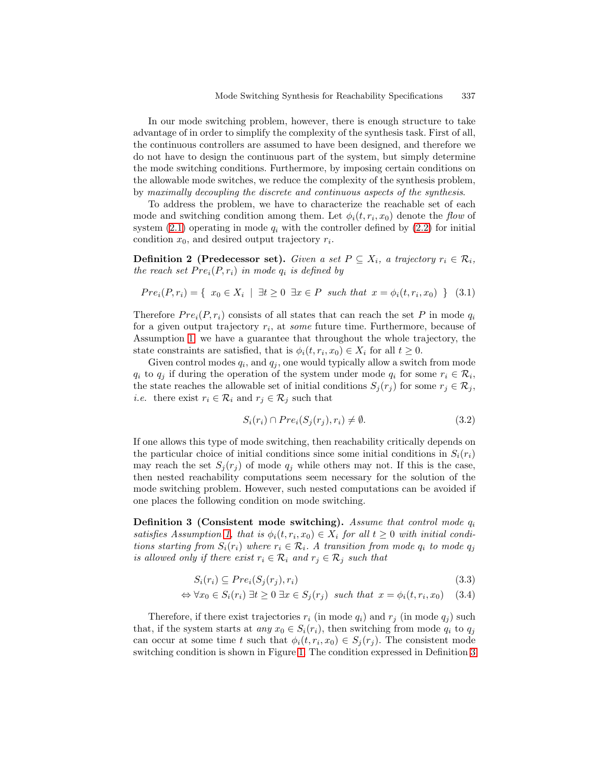<span id="page-4-0"></span>In our mode switching problem, however, there is enough structure to take advantage of in order to simplify the complexity of the synthesis task. First of all, the continuous controllers are assumed to have been designed, and therefore we do not have to design the continuous part of the system, but simply determine the mode switching conditions. Furthermore, by imposing certain conditions on the allowable mode switches, we reduce the complexity of the synthesis problem, by maximally decoupling the discrete and continuous aspects of the synthesis.

To address the problem, we have to characterize the reachable set of each mode and switching condition among them. Let  $\phi_i(t, r_i, x_0)$  denote the flow of system  $(2.1)$  operating in mode  $q_i$  with the controller defined by  $(2.2)$  for initial condition  $x_0$ , and desired output trajectory  $r_i$ .

**Definition 2 (Predecessor set).** Given a set  $P \subseteq X_i$ , a trajectory  $r_i \in \mathcal{R}_i$ , the reach set  $Pre_i(P, r_i)$  in mode  $q_i$  is defined by

$$
Pre_i(P, r_i) = \{ x_0 \in X_i \mid \exists t \ge 0 \ \exists x \in P \ such \ that \ x = \phi_i(t, r_i, x_0) \} \quad (3.1)
$$

Therefore  $Pre_i(P, r_i)$  consists of all states that can reach the set P in mode  $q_i$ for a given output trajectory  $r_i$ , at *some* future time. Furthermore, because of Assumption [1,](#page-2-0) we have a guarantee that throughout the whole trajectory, the state constraints are satisfied, that is  $\phi_i(t, r_i, x_0) \in X_i$  for all  $t \geq 0$ .

Given control modes  $q_i$ , and  $q_j$ , one would typically allow a switch from mode  $q_i$  to  $q_j$  if during the operation of the system under mode  $q_i$  for some  $r_i \in \mathcal{R}_i$ , the state reaches the allowable set of initial conditions  $S_i(r_i)$  for some  $r_i \in \mathcal{R}_i$ , *i.e.* there exist  $r_i \in \mathcal{R}_i$  and  $r_j \in \mathcal{R}_j$  such that

$$
S_i(r_i) \cap Pre_i(S_j(r_j), r_i) \neq \emptyset. \tag{3.2}
$$

If one allows this type of mode switching, then reachability critically depends on the particular choice of initial conditions since some initial conditions in  $S_i(r_i)$ may reach the set  $S_j(r_j)$  of mode  $q_j$  while others may not. If this is the case, then nested reachability computations seem necessary for the solution of the mode switching problem. However, such nested computations can be avoided if one places the following condition on mode switching.

**Definition 3 (Consistent mode switching).** Assume that control mode  $q_i$ satisfies Assumption [1,](#page-2-0) that is  $\phi_i(t, r_i, x_0) \in X_i$  for all  $t \geq 0$  with initial conditions starting from  $S_i(r_i)$  where  $r_i \in \mathcal{R}_i$ . A transition from mode  $q_i$  to mode  $q_j$ is allowed only if there exist  $r_i \in \mathcal{R}_i$  and  $r_j \in \mathcal{R}_j$  such that

$$
S_i(r_i) \subseteq Pre_i(S_j(r_j), r_i)
$$
\n
$$
(3.3)
$$

$$
\Leftrightarrow \forall x_0 \in S_i(r_i) \; \exists t \ge 0 \; \exists x \in S_j(r_j) \; \text{ such that } \; x = \phi_i(t, r_i, x_0) \quad (3.4)
$$

Therefore, if there exist trajectories  $r_i$  (in mode  $q_i$ ) and  $r_j$  (in mode  $q_j$ ) such that, if the system starts at any  $x_0 \in S_i(r_i)$ , then switching from mode  $q_i$  to  $q_j$ can occur at some time t such that  $\phi_i(t, r_i, x_0) \in S_i(r_i)$ . The consistent mode switching condition is shown in Figure [1.](#page-5-0) The condition expressed in Definition 3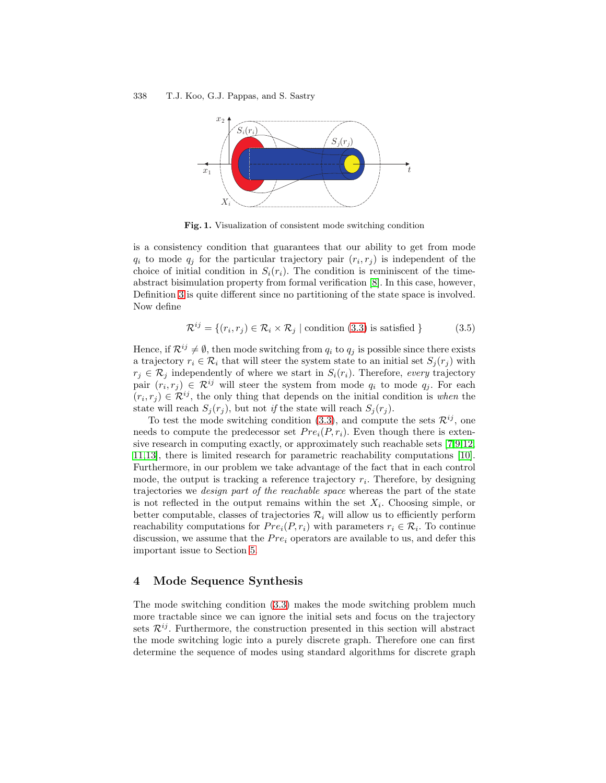<span id="page-5-0"></span>

**Fig. 1.** Visualization of consistent mode switching condition

is a consistency condition that guarantees that our ability to get from mode  $q_i$  to mode  $q_i$  for the particular trajectory pair  $(r_i, r_j)$  is independent of the choice of initial condition in  $S_i(r_i)$ . The condition is reminiscent of the timeabstract bisimulation property from formal verification [\[8\]](#page-13-0). In this case, however, Definition [3](#page-4-0) is quite different since no partitioning of the state space is involved. Now define

$$
\mathcal{R}^{ij} = \{ (r_i, r_j) \in \mathcal{R}_i \times \mathcal{R}_j \mid \text{condition (3.3) is satisfied } \}
$$
 (3.5)

Hence, if  $\mathcal{R}^{ij} \neq \emptyset$ , then mode switching from  $q_i$  to  $q_j$  is possible since there exists a trajectory  $r_i \in \mathcal{R}_i$  that will steer the system state to an initial set  $S_j(r_j)$  with  $r_j \in \mathcal{R}_j$  independently of where we start in  $S_i(r_i)$ . Therefore, every trajectory pair  $(r_i, r_j) \in \mathcal{R}^{ij}$  will steer the system from mode  $q_i$  to mode  $q_j$ . For each  $(r_i, r_j) \in \mathcal{R}^{ij}$ , the only thing that depends on the initial condition is when the state will reach  $S_i(r_i)$ , but not if the state will reach  $S_i(r_i)$ .

To test the mode switching condition [\(3.3\)](#page-4-0), and compute the sets  $\mathcal{R}^{ij}$ , one needs to compute the predecessor set  $Pre_i(P, r_i)$ . Even though there is extensive research in computing exactly, or approximately such reachable sets [\[7,9,12,](#page-13-0) [11,13\]](#page-13-0), there is limited research for parametric reachability computations [\[10\]](#page-13-0). Furthermore, in our problem we take advantage of the fact that in each control mode, the output is tracking a reference trajectory  $r_i$ . Therefore, by designing trajectories we design part of the reachable space whereas the part of the state is not reflected in the output remains within the set  $X_i$ . Choosing simple, or better computable, classes of trajectories  $\mathcal{R}_i$  will allow us to efficiently perform reachability computations for  $Pre_i(P, r_i)$  with parameters  $r_i \in \mathcal{R}_i$ . To continue discussion, we assume that the  $Pre_i$  operators are available to us, and defer this important issue to Section [5.](#page-9-0)

#### **4 Mode Sequence Synthesis**

The mode switching condition [\(3.3\)](#page-4-0) makes the mode switching problem much more tractable since we can ignore the initial sets and focus on the trajectory sets  $\mathcal{R}^{ij}$ . Furthermore, the construction presented in this section will abstract the mode switching logic into a purely discrete graph. Therefore one can first determine the sequence of modes using standard algorithms for discrete graph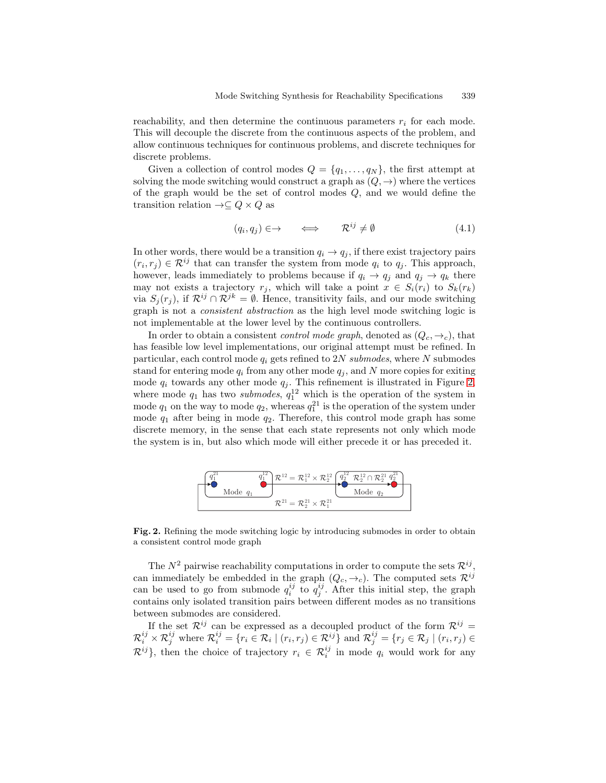<span id="page-6-0"></span>reachability, and then determine the continuous parameters  $r_i$  for each mode. This will decouple the discrete from the continuous aspects of the problem, and allow continuous techniques for continuous problems, and discrete techniques for discrete problems.

Given a collection of control modes  $Q = \{q_1, \ldots, q_N\}$ , the first attempt at solving the mode switching would construct a graph as  $(Q, \rightarrow)$  where the vertices of the graph would be the set of control modes Q, and we would define the transition relation  $\rightarrow \subseteq Q \times Q$  as

$$
(q_i, q_j) \in \to \qquad \Longleftrightarrow \qquad \mathcal{R}^{ij} \neq \emptyset \tag{4.1}
$$

In other words, there would be a transition  $q_i \rightarrow q_j$ , if there exist trajectory pairs  $(r_i, r_j) \in \mathcal{R}^{ij}$  that can transfer the system from mode  $q_i$  to  $q_j$ . This approach, however, leads immediately to problems because if  $q_i \rightarrow q_j$  and  $q_j \rightarrow q_k$  there may not exists a trajectory  $r_j$ , which will take a point  $x \in S_i(r_i)$  to  $S_k(r_k)$ via  $S_i(r_i)$ , if  $\mathcal{R}^{ij} \cap \mathcal{R}^{jk} = \emptyset$ . Hence, transitivity fails, and our mode switching graph is not a consistent abstraction as the high level mode switching logic is not implementable at the lower level by the continuous controllers.

In order to obtain a consistent *control mode graph*, denoted as  $(Q_c, \rightarrow_c)$ , that has feasible low level implementations, our original attempt must be refined. In particular, each control mode  $q_i$  gets refined to 2N submodes, where N submodes stand for entering mode  $q_i$  from any other mode  $q_i$ , and N more copies for exiting mode  $q_i$  towards any other mode  $q_j$ . This refinement is illustrated in Figure 2, where mode  $q_1$  has two submodes,  $q_1^{12}$  which is the operation of the system in mode  $q_1$  on the way to mode  $q_2$ , whereas  $q_1^{21}$  is the operation of the system under mode  $q_1$  after being in mode  $q_2$ . Therefore, this control mode graph has some discrete memory, in the sense that each state represents not only which mode the system is in, but also which mode will either precede it or has preceded it.



**Fig. 2.** Refining the mode switching logic by introducing submodes in order to obtain a consistent control mode graph

The  $N^2$  pairwise reachability computations in order to compute the sets  $\mathcal{R}^{ij}$ . can immediately be embedded in the graph  $(Q_c, \rightarrow_c)$ . The computed sets  $\mathcal{R}^{ij}$ can be used to go from submode  $q_i^{ij}$  to  $q_j^{ij}$ . After this initial step, the graph contains only isolated transition pairs between different modes as no transitions between submodes are considered.

If the set  $\mathcal{R}^{ij}$  can be expressed as a decoupled product of the form  $\mathcal{R}^{ij}$  =  $\mathcal{R}_i^{ij} \times \mathcal{R}_j^{ij}$  where  $\mathcal{R}_i^{ij} = \{r_i \in \mathcal{R}_i \mid (r_i, r_j) \in \mathcal{R}^{ij}\}$  and  $\mathcal{R}_j^{ij} = \{r_j \in \mathcal{R}_j \mid (r_i, r_j) \in \mathcal{R}_j\}$  $\mathcal{R}^{ij}$ , then the choice of trajectory  $r_i \in \mathcal{R}_i^{ij}$  in mode  $q_i$  would work for any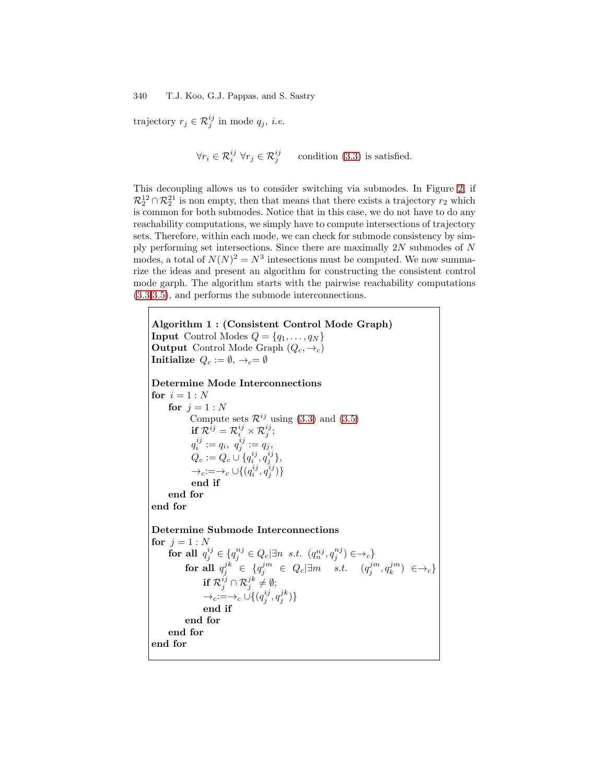trajectory  $r_j \in \mathcal{R}_j^{ij}$  in mode  $q_j$ , *i.e.* 

 $\forall r_i \in \mathcal{R}_i^{ij}$   $\forall r_j \in \mathcal{R}_j^{ij}$  condition [\(3.3\)](#page-4-0) is satisfied.

This decoupling allows us to consider switching via submodes. In Figure [2,](#page-6-0) if  $\mathcal{R}_2^{12} \cap \mathcal{R}_2^{21}$  is non empty, then that means that there exists a trajectory  $r_2$  which is common for both submodes. Notice that in this case, we do not have to do any reachability computations, we simply have to compute intersections of trajectory sets. Therefore, within each mode, we can check for submode consistency by simply performing set intersections. Since there are maximally  $2N$  submodes of  $N$ modes, a total of  $N(N)^2 = N^3$  intesections must be computed. We now summarize the ideas and present an algorithm for constructing the consistent control mode garph. The algorithm starts with the pairwise reachability computations [\(3.3](#page-4-0)[,3.5\)](#page-5-0), and performs the submode interconnections.

**Algorithm 1 : (Consistent Control Mode Graph) Input** Control Modes  $Q = \{q_1, \ldots, q_N\}$ **Output** Control Mode Graph  $(Q_c, \rightarrow_c)$ **Initialize**  $Q_c := \emptyset, \rightarrow_c = \emptyset$ **Determine Mode Interconnections** for  $i = 1:N$ **for**  $j = 1 : N$ Compute sets  $\mathcal{R}^{ij}$  using [\(3.3\)](#page-4-0) and [\(3.5\)](#page-5-0)  $\textbf{if} \ \mathcal{R}^{ij} = \mathcal{R}_i^{ij} \times \mathcal{R}_j^{ij};$  $q_i^{ij} := q_i, \; q_j^{ij} := q_j,$  $Q_c:=Q_c\cup\{q_i^{ij},q_j^{ij}\},$  $\rightarrow_c := \rightarrow_c \cup \{(q^{ij}_i, q^{ij}_j)\}$ **end if end for end for Determine Submode Interconnections for**  $j = 1 : N$  $\textbf{for all} \ \ q^{ij}_j \in \{ q^{nj}_j \in Q_c | \exists n \ \ s.t. \ \ (q^{nj}_n, q^{nj}_j) \in \rightarrow_c \}$  $\quad \textbf{for all} \ \ q^{jk}_j \ \in \ \{q^{jm}_j \ \in \ Q_c | \exists m \quad s.t. \quad (q^{jm}_j, q^{jm}_k) \ \in \to_c \}$  $\textbf{if} \ \mathcal{R}^{ij}_j \cap \mathcal{R}^{jk}_j \neq \emptyset;$  $\rightarrow_c := \rightarrow_c \cup \{(q_j^{ij}, q_j^{jk})\}$ **end if end for end for end for**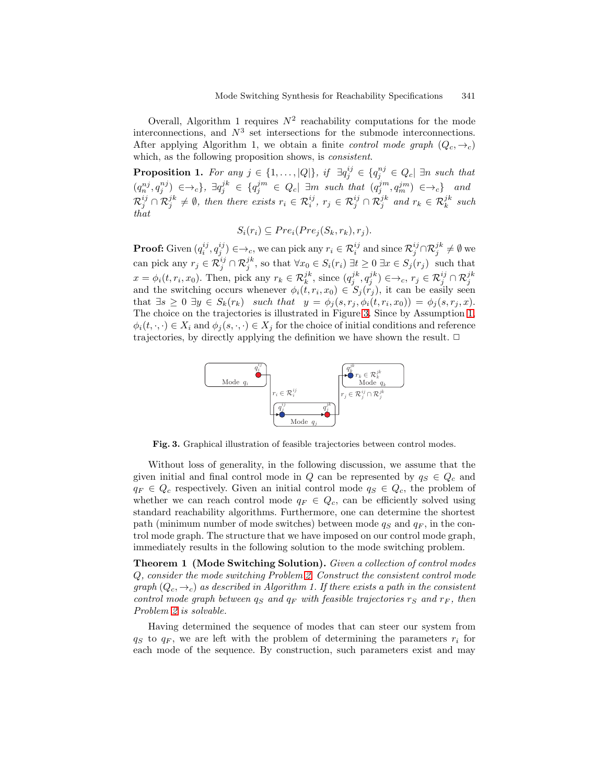Overall, Algorithm 1 requires  $N^2$  reachability computations for the mode interconnections, and  $N^3$  set intersections for the submode interconnections. After applying Algorithm 1, we obtain a finite *control mode graph*  $(Q_c, \rightarrow_c)$ which, as the following proposition shows, is *consistent*.

**Proposition 1.** For any  $j \in \{1, ..., |Q|\}$ , if  $\exists q_j^{ij} \in \{q_j^{nj} \in Q_c | \exists n \text{ such that}$  $(q_n^{nj}, q_j^{nj}) \in \rightarrow_c$ ,  $\exists q_j^{jk} \in \{q_j^{jm} \in Q_c | \exists m \text{ such that } (q_j^{jm}, q_m^{jm}) \in \rightarrow_c \}$  and  $\mathcal{R}_j^{ij} \cap \mathcal{R}_j^{jk} \neq \emptyset$ , then there exists  $r_i \in \mathcal{R}_i^{ij}$ ,  $r_j \in \mathcal{R}_j^{ij} \cap \mathcal{R}_j^{jk}$  and  $r_k \in \mathcal{R}_k^{jk}$  such that

$$
S_i(r_i) \subseteq Pre_i(Pre_j(S_k, r_k), r_j).
$$

**Proof:** Given  $(q_i^{ij}, q_j^{ij}) \in \to_c$ , we can pick any  $r_i \in \mathcal{R}_i^{ij}$  and since  $\mathcal{R}_j^{ij} \cap \mathcal{R}_j^{jk} \neq \emptyset$  we can pick any  $r_j \in \mathcal{R}_j^{ij} \cap \mathcal{R}_j^{jk}$ , so that  $\forall x_0 \in S_i(r_i) \exists t \geq 0 \exists x \in S_j(r_j)$  such that  $x = \phi_i(t, r_i, x_0)$ . Then, pick any  $r_k \in \mathcal{R}_k^{jk}$ , since  $(q_j^{jk}, q_j^{jk}) \in \rightarrow_c, r_j \in \mathcal{R}_j^{ij} \cap \mathcal{R}_j^{jk}$ <br>and the switching occurs whenever  $\phi_i(t, r_i, x_0) \in S_j(r_j)$ , it can be easily seen that  $\exists s \geq 0 \ \exists y \in S_k(r_k)$  such that  $y = \phi_j(s, r_j, \phi_i(t, r_i, x_0)) = \phi_j(s, r_j, x)$ . The choice on the trajectories is illustrated in Figure 3. Since by Assumption [1,](#page-2-0)  $\phi_i(t, \cdot, \cdot) \in X_i$  and  $\phi_i(s, \cdot, \cdot) \in X_j$  for the choice of initial conditions and reference trajectories, by directly applying the definition we have shown the result.  $\Box$ 



**Fig. 3.** Graphical illustration of feasible trajectories between control modes.

Without loss of generality, in the following discussion, we assume that the given initial and final control mode in Q can be represented by  $q_S \in Q_c$  and  $q_F \in Q_c$  respectively. Given an initial control mode  $q_S \in Q_c$ , the problem of whether we can reach control mode  $q_F \in Q_c$ , can be efficiently solved using standard reachability algorithms. Furthermore, one can determine the shortest path (minimum number of mode switches) between mode  $q_S$  and  $q_F$ , in the control mode graph. The structure that we have imposed on our control mode graph, immediately results in the following solution to the mode switching problem.

**Theorem 1 (Mode Switching Solution).** Given a collection of control modes Q, consider the mode switching Problem [2.](#page-3-0) Construct the consistent control mode graph  $(Q_c, \rightarrow_c)$  as described in Algorithm 1. If there exists a path in the consistent control mode graph between  $q_S$  and  $q_F$  with feasible trajectories  $r_S$  and  $r_F$ , then Problem [2](#page-3-0) is solvable.

Having determined the sequence of modes that can steer our system from  $q_S$  to  $q_F$ , we are left with the problem of determining the parameters  $r_i$  for each mode of the sequence. By construction, such parameters exist and may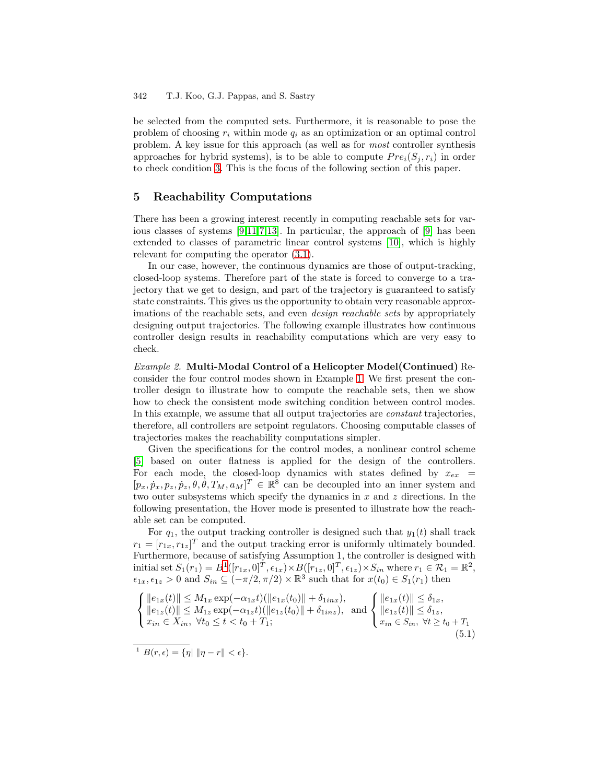<span id="page-9-0"></span>be selected from the computed sets. Furthermore, it is reasonable to pose the problem of choosing  $r_i$  within mode  $q_i$  as an optimization or an optimal control problem. A key issue for this approach (as well as for most controller synthesis approaches for hybrid systems), is to be able to compute  $Pre_i(S_i, r_i)$  in order to check condition [3.](#page-4-0) This is the focus of the following section of this paper.

### **5 Reachability Computations**

There has been a growing interest recently in computing reachable sets for various classes of systems  $[9,11,7,13]$ . In particular, the approach of  $[9]$  has been extended to classes of parametric linear control systems [\[10\]](#page-13-0), which is highly relevant for computing the operator [\(3.1\)](#page-4-0).

In our case, however, the continuous dynamics are those of output-tracking, closed-loop systems. Therefore part of the state is forced to converge to a trajectory that we get to design, and part of the trajectory is guaranteed to satisfy state constraints. This gives us the opportunity to obtain very reasonable approximations of the reachable sets, and even design reachable sets by appropriately designing output trajectories. The following example illustrates how continuous controller design results in reachability computations which are very easy to check.

Example 2. **Multi-Modal Control of a Helicopter Model(Continued)** Reconsider the four control modes shown in Example [1.](#page-2-0) We first present the controller design to illustrate how to compute the reachable sets, then we show how to check the consistent mode switching condition between control modes. In this example, we assume that all output trajectories are *constant* trajectories, therefore, all controllers are setpoint regulators. Choosing computable classes of trajectories makes the reachability computations simpler.

Given the specifications for the control modes, a nonlinear control scheme [\[5\]](#page-13-0) based on outer flatness is applied for the design of the controllers. For each mode, the closed-loop dynamics with states defined by  $x_{ex}$  =  $[p_x, \dot{p}_x, p_z, \dot{p}_z, \theta, \dot{\theta}, T_M, a_M]^T \in \mathbb{R}^8$  can be decoupled into an inner system and two outer subsystems which specify the dynamics in  $x$  and  $z$  directions. In the following presentation, the Hover mode is presented to illustrate how the reachable set can be computed.

For  $q_1$ , the output tracking controller is designed such that  $y_1(t)$  shall track  $r_1 = [r_{1x}, r_{1z}]^T$  and the output tracking error is uniformly ultimately bounded. Furthermore, because of satisfying Assumption 1, the controller is designed with initial set  $S_1(r_1) = B^1([r_{1x}, 0]^T, \epsilon_{1x}) \times B([r_{1z}, 0]^T, \epsilon_{1z}) \times S_{in}$  where  $r_1 \in \mathcal{R}_1 = \mathbb{R}^2$ ,  $\epsilon_{1x}, \epsilon_{1z} > 0$  and  $S_{in} \subseteq (-\pi/2, \pi/2) \times \mathbb{R}^3$  such that for  $x(t_0) \in S_1(r_1)$  then

$$
\begin{cases}\n\|e_{1x}(t)\| \le M_{1x} \exp(-\alpha_{1x}t)(\|e_{1x}(t_0)\| + \delta_{1inx}), \\
\|e_{1z}(t)\| \le M_{1z} \exp(-\alpha_{1z}t)(\|e_{1z}(t_0)\| + \delta_{1inx}), \\
x_{in} \in X_{in}, \ \forall t_0 \le t < t_0 + T_1;\n\end{cases}\n\text{ and }\n\begin{cases}\n\|e_{1x}(t)\| \le \delta_{1x}, \\
\|e_{1z}(t)\| \le \delta_{1z}, \\
x_{in} \in S_{in}, \ \forall t \ge t_0 + T_1 \\
(5.1)\n\end{cases}
$$

$$
\frac{1}{\beta(r,\epsilon)} = \{ \eta \mid \|\eta - r\| < \epsilon \}.
$$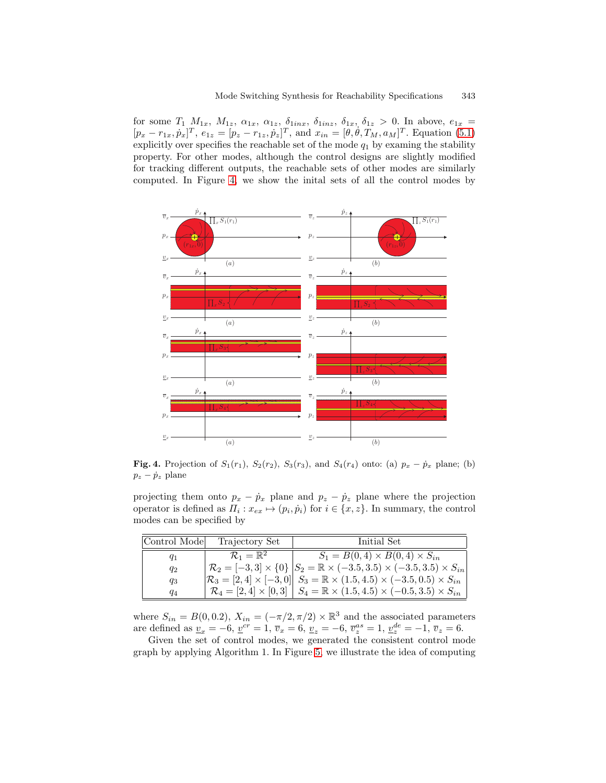for some  $T_1$   $M_{1x}$ ,  $M_{1z}$ ,  $\alpha_{1x}$ ,  $\alpha_{1z}$ ,  $\delta_{1inx}$ ,  $\delta_{1inx}$ ,  $\delta_{1x}$ ,  $\delta_{1z} > 0$ . In above,  $e_{1x} =$  $[p_x - r_{1x}, \dot{p}_x]^T$ ,  $e_{1z} = [p_z - r_{1z}, \dot{p}_z]^T$ , and  $x_{in} = [\theta, \dot{\theta}, T_M, a_M]^T$ . Equation [\(5.1\)](#page-9-0) explicitly over specifies the reachable set of the mode  $q_1$  by examing the stability property. For other modes, although the control designs are slightly modified for tracking different outputs, the reachable sets of other modes are similarly computed. In Figure 4, we show the inital sets of all the control modes by



**Fig. 4.** Projection of  $S_1(r_1)$ ,  $S_2(r_2)$ ,  $S_3(r_3)$ , and  $S_4(r_4)$  onto: (a)  $p_x - p_x$  plane; (b)  $p_z - \dot{p}_z$  plane

projecting them onto  $p_x - \dot{p}_x$  plane and  $p_z - \dot{p}_z$  plane where the projection operator is defined as  $\Pi_i : x_{ex} \mapsto (p_i, \dot{p}_i)$  for  $i \in \{x, z\}$ . In summary, the control modes can be specified by

| Control Mode | Trajectory Set               | Initial Set                                                                                                   |
|--------------|------------------------------|---------------------------------------------------------------------------------------------------------------|
| 41           | $\mathcal{R}_1=\mathbb{R}^2$ | $S_1 = B(0, 4) \times B(0, 4) \times S_{in}$                                                                  |
| $q_2$        |                              | $\mathcal{R}_2 = [-3,3] \times \{0\}   S_2 = \mathbb{R} \times (-3.5,3.5) \times (-3.5,3.5) \times S_{in}$    |
| $q_3$        |                              | $\mathcal{R}_3 = [2, 4] \times [-3, 0]$ $S_3 = \mathbb{R} \times (1.5, 4.5) \times (-3.5, 0.5) \times S_{in}$ |
| $q_4$        |                              | $\mathcal{R}_4 = [2, 4] \times [0, 3]$ $S_4 = \mathbb{R} \times (1.5, 4.5) \times (-0.5, 3.5) \times S_{in}$  |

where  $S_{in} = B(0, 0.2), X_{in} = (-\pi/2, \pi/2) \times \mathbb{R}^{3}$  and the associated parameters are defined as  $\underline{v}_x = -6$ ,  $\underline{v}^{cr} = 1$ ,  $\overline{v}_x = 6$ ,  $\underline{v}_z = -6$ ,  $\overline{v}_z^{as} = 1$ ,  $\underline{v}_z^{de} = -1$ ,  $\overline{v}_z = 6$ .

Given the set of control modes, we generated the consistent control mode graph by applying Algorithm 1. In Figure [5,](#page-11-0) we illustrate the idea of computing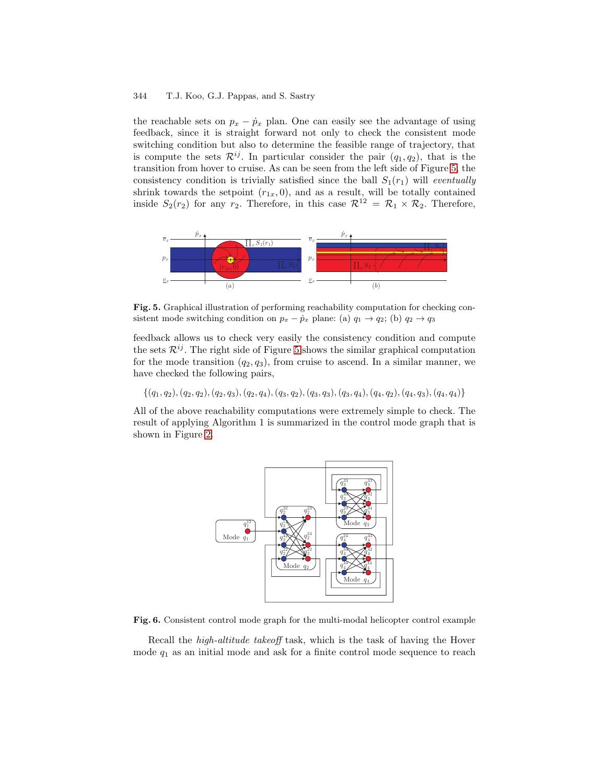<span id="page-11-0"></span>the reachable sets on  $p_x - \dot{p}_x$  plan. One can easily see the advantage of using feedback, since it is straight forward not only to check the consistent mode switching condition but also to determine the feasible range of trajectory, that is compute the sets  $\mathcal{R}^{ij}$ . In particular consider the pair  $(q_1, q_2)$ , that is the transition from hover to cruise. As can be seen from the left side of Figure 5, the consistency condition is trivially satisfied since the ball  $S_1(r_1)$  will eventually shrink towards the setpoint  $(r_{1x}, 0)$ , and as a result, will be totally contained inside  $S_2(r_2)$  for any  $r_2$ . Therefore, in this case  $\mathcal{R}^{12} = \mathcal{R}_1 \times \mathcal{R}_2$ . Therefore,



**Fig. 5.** Graphical illustration of performing reachability computation for checking consistent mode switching condition on  $p_x - \dot{p}_x$  plane: (a)  $q_1 \rightarrow q_2$ ; (b)  $q_2 \rightarrow q_3$ 

feedback allows us to check very easily the consistency condition and compute the sets  $\mathcal{R}^{ij}$ . The right side of Figure 5 shows the similar graphical computation for the mode transition  $(q_2, q_3)$ , from cruise to ascend. In a similar manner, we have checked the following pairs,

 $\{(q_1, q_2), (q_2, q_2), (q_2, q_3), (q_2, q_4), (q_3, q_2), (q_3, q_3), (q_3, q_4), (q_4, q_2), (q_4, q_3), (q_4, q_4)\}\$ 

All of the above reachability computations were extremely simple to check. The result of applying Algorithm 1 is summarized in the control mode graph that is shown in Figure 2.



**Fig. 6.** Consistent control mode graph for the multi-modal helicopter control example

Recall the high-altitude takeoff task, which is the task of having the Hover mode  $q_1$  as an initial mode and ask for a finite control mode sequence to reach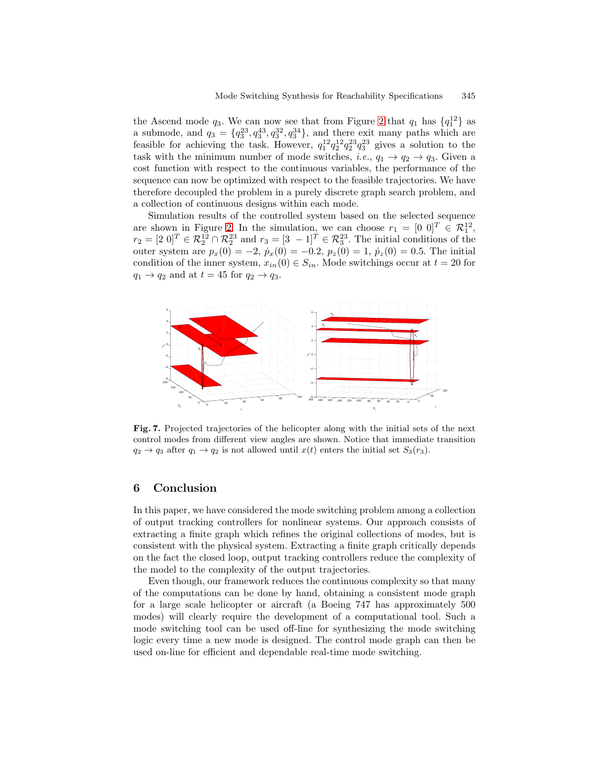the Ascend mode  $q_3$ . We can now see that from Figure [2](#page-11-0) that  $q_1$  has  $\{q_1^{12}\}$  as a submode, and  $q_3 = \{q_3^{23}, q_3^{43}, q_3^{32}, q_3^{34}\}$ , and there exit many paths which are feasible for achieving the task. However,  $q_1^{12}q_2^{12}q_3^{23}q_3^{23}$  gives a solution to the task with the minimum number of mode switches, *i.e.*,  $q_1 \rightarrow q_2 \rightarrow q_3$ . Given a cost function with respect to the continuous variables, the performance of the sequence can now be optimized with respect to the feasible trajectories. We have therefore decoupled the problem in a purely discrete graph search problem, and a collection of continuous designs within each mode.

Simulation results of the controlled system based on the selected sequence are shown in Figure 2. In the simulation, we can choose  $r_1 = [0 \ 0]^T \in \mathcal{R}_1^{12}$ ,  $r_2 = [2 \ 0]^T \in \mathcal{R}_2^{12} \cap \mathcal{R}_2^{23}$  and  $r_3 = [3 \ -1]^T \in \mathcal{R}_3^{23}$ . The initial conditions of the outer system are  $p_x(0) = -2$ ,  $\dot{p}_x(0) = -0.2$ ,  $p_z(0) = 1$ ,  $\dot{p}_z(0) = 0.5$ . The initial condition of the inner system,  $x_{in}(0) \in S_{in}$ . Mode switchings occur at  $t = 20$  for  $q_1 \rightarrow q_2$  and at  $t = 45$  for  $q_2 \rightarrow q_3$ .



**Fig. 7.** Projected trajectories of the helicopter along with the initial sets of the next control modes from different view angles are shown. Notice that immediate transition  $q_2 \rightarrow q_3$  after  $q_1 \rightarrow q_2$  is not allowed until  $x(t)$  enters the initial set  $S_3(r_3)$ .

#### **6 Conclusion**

In this paper, we have considered the mode switching problem among a collection of output tracking controllers for nonlinear systems. Our approach consists of extracting a finite graph which refines the original collections of modes, but is consistent with the physical system. Extracting a finite graph critically depends on the fact the closed loop, output tracking controllers reduce the complexity of the model to the complexity of the output trajectories.

Even though, our framework reduces the continuous complexity so that many of the computations can be done by hand, obtaining a consistent mode graph for a large scale helicopter or aircraft (a Boeing 747 has approximately 500 modes) will clearly require the development of a computational tool. Such a mode switching tool can be used off-line for synthesizing the mode switching logic every time a new mode is designed. The control mode graph can then be used on-line for efficient and dependable real-time mode switching.